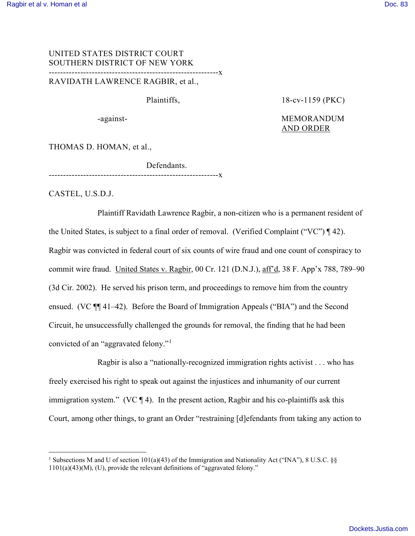# UNITED STATES DISTRICT COURT SOUTHERN DISTRICT OF NEW YORK -----------------------------------------------------------x

RAVIDATH LAWRENCE RAGBIR, et al.,

Plaintiffs, 18-cv-1159 (PKC)

# -against-<br>
MEMORANDUM AND ORDER

THOMAS D. HOMAN, et al.,

Defendants. -----------------<u>x</u>

CASTEL, U.S.D.J.

 $\overline{a}$ 

Plaintiff Ravidath Lawrence Ragbir, a non-citizen who is a permanent resident of the United States, is subject to a final order of removal. (Verified Complaint ("VC") ¶ 42). Ragbir was convicted in federal court of six counts of wire fraud and one count of conspiracy to commit wire fraud. United States v. Ragbir, 00 Cr. 121 (D.N.J.), aff'd, 38 F. App'x 788, 789–90 (3d Cir. 2002). He served his prison term, and proceedings to remove him from the country ensued. (VC ¶¶ 41–42). Before the Board of Immigration Appeals ("BIA") and the Second Circuit, he unsuccessfully challenged the grounds for removal, the finding that he had been convicted of an "aggravated felony."[1](#page-0-0)

Ragbir is also a "nationally-recognized immigration rights activist . . . who has freely exercised his right to speak out against the injustices and inhumanity of our current immigration system." (VC  $\P$  4). In the present action, Ragbir and his co-plaintiffs ask this Court, among other things, to grant an Order "restraining [d]efendants from taking any action to

<span id="page-0-0"></span><sup>&</sup>lt;sup>1</sup> Subsections M and U of section 101(a)(43) of the Immigration and Nationality Act ("INA"), 8 U.S.C. §§  $1101(a)(43)(M)$ , (U), provide the relevant definitions of "aggravated felony."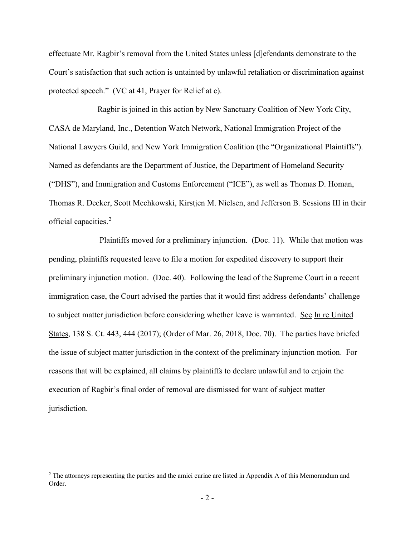effectuate Mr. Ragbir's removal from the United States unless [d]efendants demonstrate to the Court's satisfaction that such action is untainted by unlawful retaliation or discrimination against protected speech." (VC at 41, Prayer for Relief at c).

Ragbir is joined in this action by New Sanctuary Coalition of New York City, CASA de Maryland, Inc., Detention Watch Network, National Immigration Project of the National Lawyers Guild, and New York Immigration Coalition (the "Organizational Plaintiffs"). Named as defendants are the Department of Justice, the Department of Homeland Security ("DHS"), and Immigration and Customs Enforcement ("ICE"), as well as Thomas D. Homan, Thomas R. Decker, Scott Mechkowski, Kirstjen M. Nielsen, and Jefferson B. Sessions III in their official capacities. [2](#page-1-0)

Plaintiffs moved for a preliminary injunction. (Doc. 11). While that motion was pending, plaintiffs requested leave to file a motion for expedited discovery to support their preliminary injunction motion. (Doc. 40). Following the lead of the Supreme Court in a recent immigration case, the Court advised the parties that it would first address defendants' challenge to subject matter jurisdiction before considering whether leave is warranted. See In re United States, 138 S. Ct. 443, 444 (2017); (Order of Mar. 26, 2018, Doc. 70). The parties have briefed the issue of subject matter jurisdiction in the context of the preliminary injunction motion. For reasons that will be explained, all claims by plaintiffs to declare unlawful and to enjoin the execution of Ragbir's final order of removal are dismissed for want of subject matter jurisdiction.

-

<span id="page-1-0"></span><sup>&</sup>lt;sup>2</sup> The attorneys representing the parties and the amici curiae are listed in Appendix A of this Memorandum and Order.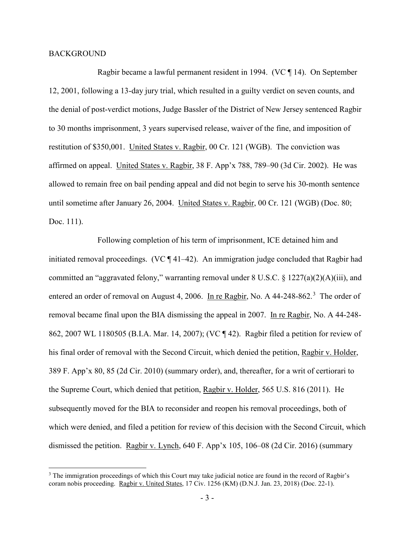#### BACKGROUND

 $\overline{a}$ 

Ragbir became a lawful permanent resident in 1994. (VC ¶ 14). On September 12, 2001, following a 13-day jury trial, which resulted in a guilty verdict on seven counts, and the denial of post-verdict motions, Judge Bassler of the District of New Jersey sentenced Ragbir to 30 months imprisonment, 3 years supervised release, waiver of the fine, and imposition of restitution of \$350,001. United States v. Ragbir, 00 Cr. 121 (WGB). The conviction was affirmed on appeal. United States v. Ragbir, 38 F. App'x 788, 789–90 (3d Cir. 2002). He was allowed to remain free on bail pending appeal and did not begin to serve his 30-month sentence until sometime after January 26, 2004. United States v. Ragbir, 00 Cr. 121 (WGB) (Doc. 80; Doc. 111).

Following completion of his term of imprisonment, ICE detained him and initiated removal proceedings. (VC ¶ 41–42). An immigration judge concluded that Ragbir had committed an "aggravated felony," warranting removal under 8 U.S.C. § 1227(a)(2)(A)(iii), and entered an order of removal on August 4, 2006. In re Ragbir, No. A 44-248-862.<sup>[3](#page-2-0)</sup> The order of removal became final upon the BIA dismissing the appeal in 2007. In re Ragbir, No. A 44-248- 862, 2007 WL 1180505 (B.I.A. Mar. 14, 2007); (VC ¶ 42). Ragbir filed a petition for review of his final order of removal with the Second Circuit, which denied the petition, Ragbir v. Holder, 389 F. App'x 80, 85 (2d Cir. 2010) (summary order), and, thereafter, for a writ of certiorari to the Supreme Court, which denied that petition, Ragbir v. Holder, 565 U.S. 816 (2011). He subsequently moved for the BIA to reconsider and reopen his removal proceedings, both of which were denied, and filed a petition for review of this decision with the Second Circuit, which dismissed the petition. Ragbir v. Lynch, 640 F. App'x 105, 106–08 (2d Cir. 2016) (summary

<span id="page-2-0"></span><sup>&</sup>lt;sup>3</sup> The immigration proceedings of which this Court may take judicial notice are found in the record of Ragbir's coram nobis proceeding. Ragbir v. United States, 17 Civ. 1256 (KM) (D.N.J. Jan. 23, 2018) (Doc. 22-1).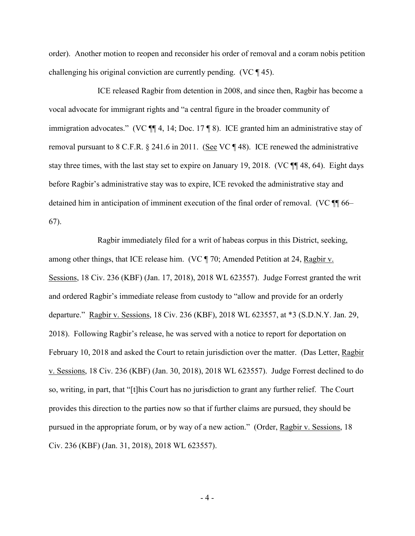order). Another motion to reopen and reconsider his order of removal and a coram nobis petition challenging his original conviction are currently pending. (VC ¶ 45).

ICE released Ragbir from detention in 2008, and since then, Ragbir has become a vocal advocate for immigrant rights and "a central figure in the broader community of immigration advocates." (VC  $\P$  4, 14; Doc. 17  $\P$  8). ICE granted him an administrative stay of removal pursuant to 8 C.F.R. § 241.6 in 2011. (See VC ¶ 48). ICE renewed the administrative stay three times, with the last stay set to expire on January 19, 2018. (VC ¶¶ 48, 64). Eight days before Ragbir's administrative stay was to expire, ICE revoked the administrative stay and detained him in anticipation of imminent execution of the final order of removal. (VC ¶¶ 66– 67).

Ragbir immediately filed for a writ of habeas corpus in this District, seeking, among other things, that ICE release him. (VC ¶ 70; Amended Petition at 24, Ragbir v. Sessions, 18 Civ. 236 (KBF) (Jan. 17, 2018), 2018 WL 623557). Judge Forrest granted the writ and ordered Ragbir's immediate release from custody to "allow and provide for an orderly departure." Ragbir v. Sessions, 18 Civ. 236 (KBF), 2018 WL 623557, at \*3 (S.D.N.Y. Jan. 29, 2018). Following Ragbir's release, he was served with a notice to report for deportation on February 10, 2018 and asked the Court to retain jurisdiction over the matter. (Das Letter, Ragbir v. Sessions, 18 Civ. 236 (KBF) (Jan. 30, 2018), 2018 WL 623557). Judge Forrest declined to do so, writing, in part, that "[t]his Court has no jurisdiction to grant any further relief. The Court provides this direction to the parties now so that if further claims are pursued, they should be pursued in the appropriate forum, or by way of a new action." (Order, Ragbir v. Sessions, 18 Civ. 236 (KBF) (Jan. 31, 2018), 2018 WL 623557).

- 4 -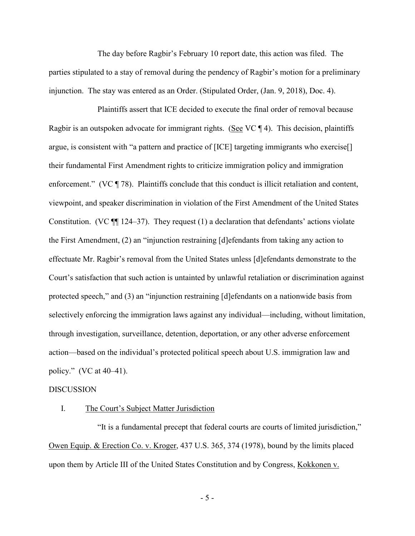The day before Ragbir's February 10 report date, this action was filed. The parties stipulated to a stay of removal during the pendency of Ragbir's motion for a preliminary injunction. The stay was entered as an Order. (Stipulated Order, (Jan. 9, 2018), Doc. 4).

Plaintiffs assert that ICE decided to execute the final order of removal because Ragbir is an outspoken advocate for immigrant rights. (See VC ¶ 4). This decision, plaintiffs argue, is consistent with "a pattern and practice of [ICE] targeting immigrants who exercise[] their fundamental First Amendment rights to criticize immigration policy and immigration enforcement." (VC ¶ 78). Plaintiffs conclude that this conduct is illicit retaliation and content, viewpoint, and speaker discrimination in violation of the First Amendment of the United States Constitution. (VC  $\P$  124–37). They request (1) a declaration that defendants' actions violate the First Amendment, (2) an "injunction restraining [d]efendants from taking any action to effectuate Mr. Ragbir's removal from the United States unless [d]efendants demonstrate to the Court's satisfaction that such action is untainted by unlawful retaliation or discrimination against protected speech," and (3) an "injunction restraining [d]efendants on a nationwide basis from selectively enforcing the immigration laws against any individual—including, without limitation, through investigation, surveillance, detention, deportation, or any other adverse enforcement action—based on the individual's protected political speech about U.S. immigration law and policy." (VC at 40–41).

#### DISCUSSION

#### I. The Court's Subject Matter Jurisdiction

"It is a fundamental precept that federal courts are courts of limited jurisdiction," Owen Equip. & Erection Co. v. Kroger, 437 U.S. 365, 374 (1978), bound by the limits placed upon them by Article III of the United States Constitution and by Congress, Kokkonen v.

- 5 -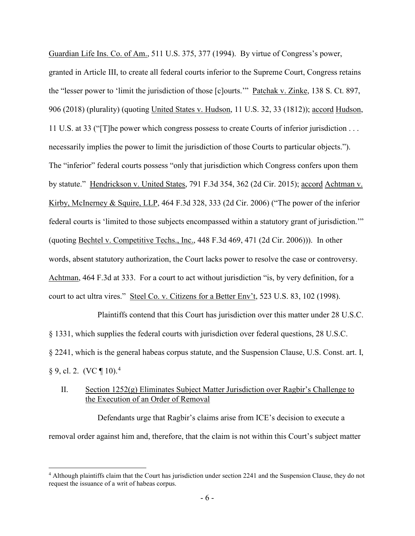Guardian Life Ins. Co. of Am., 511 U.S. 375, 377 (1994). By virtue of Congress's power, granted in Article III, to create all federal courts inferior to the Supreme Court, Congress retains the "lesser power to 'limit the jurisdiction of those [c]ourts.'" Patchak v. Zinke, 138 S. Ct. 897, 906 (2018) (plurality) (quoting United States v. Hudson, 11 U.S. 32, 33 (1812)); accord Hudson, 11 U.S. at 33 ("[T]he power which congress possess to create Courts of inferior jurisdiction . . . necessarily implies the power to limit the jurisdiction of those Courts to particular objects."). The "inferior" federal courts possess "only that jurisdiction which Congress confers upon them by statute." Hendrickson v. United States, 791 F.3d 354, 362 (2d Cir. 2015); accord Achtman v. Kirby, McInerney & Squire, LLP, 464 F.3d 328, 333 (2d Cir. 2006) ("The power of the inferior federal courts is 'limited to those subjects encompassed within a statutory grant of jurisdiction.'" (quoting Bechtel v. Competitive Techs., Inc., 448 F.3d 469, 471 (2d Cir. 2006))). In other words, absent statutory authorization, the Court lacks power to resolve the case or controversy. Achtman, 464 F.3d at 333. For a court to act without jurisdiction "is, by very definition, for a court to act ultra vires." Steel Co. v. Citizens for a Better Env't, 523 U.S. 83, 102 (1998).

Plaintiffs contend that this Court has jurisdiction over this matter under 28 U.S.C. § 1331, which supplies the federal courts with jurisdiction over federal questions, 28 U.S.C. § 2241, which is the general habeas corpus statute, and the Suspension Clause, U.S. Const. art. I,  $\S 9$ , cl. 2. (VC ¶ 10).<sup>[4](#page-5-0)</sup>

# II. Section 1252(g) Eliminates Subject Matter Jurisdiction over Ragbir's Challenge to the Execution of an Order of Removal

Defendants urge that Ragbir's claims arise from ICE's decision to execute a removal order against him and, therefore, that the claim is not within this Court's subject matter

 $\overline{a}$ 

<span id="page-5-0"></span><sup>4</sup> Although plaintiffs claim that the Court has jurisdiction under section 2241 and the Suspension Clause, they do not request the issuance of a writ of habeas corpus.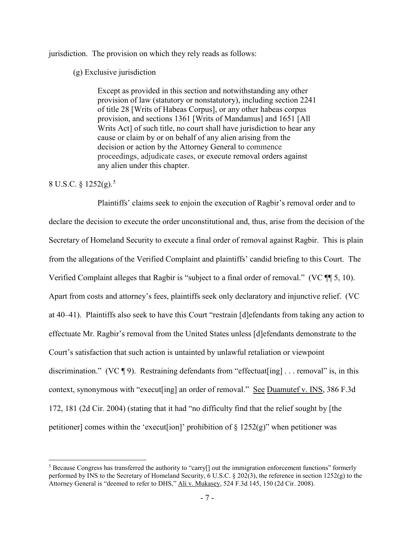jurisdiction. The provision on which they rely reads as follows:

#### (g) Exclusive jurisdiction

Except as provided in this section and notwithstanding any other provision of law (statutory or nonstatutory), including section 2241 of title 28 [Writs of Habeas Corpus], or any other habeas corpus provision, and sections 1361 [Writs of Mandamus] and 1651 [All Writs Act] of such title, no court shall have jurisdiction to hear any cause or claim by or on behalf of any alien arising from the decision or action by the Attorney General to commence proceedings, adjudicate cases, or execute removal orders against any alien under this chapter.

### 8 U.S.C. § 12[5](#page-6-0)2(g).<sup>5</sup>

 $\overline{a}$ 

Plaintiffs' claims seek to enjoin the execution of Ragbir's removal order and to declare the decision to execute the order unconstitutional and, thus, arise from the decision of the Secretary of Homeland Security to execute a final order of removal against Ragbir. This is plain from the allegations of the Verified Complaint and plaintiffs' candid briefing to this Court. The Verified Complaint alleges that Ragbir is "subject to a final order of removal." (VC ¶¶ 5, 10). Apart from costs and attorney's fees, plaintiffs seek only declaratory and injunctive relief. (VC at 40–41). Plaintiffs also seek to have this Court "restrain [d]efendants from taking any action to effectuate Mr. Ragbir's removal from the United States unless [d]efendants demonstrate to the Court's satisfaction that such action is untainted by unlawful retaliation or viewpoint discrimination." (VC  $\lll$  9). Restraining defendants from "effectuat [ing] ... removal" is, in this context, synonymous with "execut[ing] an order of removal." See Duamutef v. INS, 386 F.3d 172, 181 (2d Cir. 2004) (stating that it had "no difficulty find that the relief sought by [the petitioner] comes within the 'execut[ion]' prohibition of  $\S 1252(g)$ " when petitioner was

<span id="page-6-0"></span><sup>5</sup> Because Congress has transferred the authority to "carry[] out the immigration enforcement functions" formerly performed by INS to the Secretary of Homeland Security, 6 U.S.C. § 202(3), the reference in section 1252(g) to the Attorney General is "deemed to refer to DHS," Ali v. Mukasey, 524 F.3d 145, 150 (2d Cir. 2008).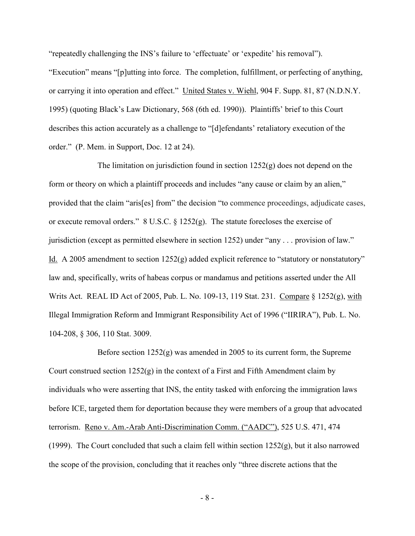"repeatedly challenging the INS's failure to 'effectuate' or 'expedite' his removal"). "Execution" means "[p]utting into force. The completion, fulfillment, or perfecting of anything, or carrying it into operation and effect." United States v. Wiehl, 904 F. Supp. 81, 87 (N.D.N.Y. 1995) (quoting Black's Law Dictionary, 568 (6th ed. 1990)). Plaintiffs' brief to this Court describes this action accurately as a challenge to "[d]efendants' retaliatory execution of the order." (P. Mem. in Support, Doc. 12 at 24).

The limitation on jurisdiction found in section  $1252(g)$  does not depend on the form or theory on which a plaintiff proceeds and includes "any cause or claim by an alien," provided that the claim "aris[es] from" the decision "to commence proceedings, adjudicate cases, or execute removal orders." 8 U.S.C. § 1252(g). The statute forecloses the exercise of jurisdiction (except as permitted elsewhere in section 1252) under "any . . . provision of law." Id. A 2005 amendment to section 1252(g) added explicit reference to "statutory or nonstatutory" law and, specifically, writs of habeas corpus or mandamus and petitions asserted under the All Writs Act. REAL ID Act of 2005, Pub. L. No. 109-13, 119 Stat. 231. Compare § 1252(g), with Illegal Immigration Reform and Immigrant Responsibility Act of 1996 ("IIRIRA"), Pub. L. No. 104-208, § 306, 110 Stat. 3009.

Before section  $1252(g)$  was amended in 2005 to its current form, the Supreme Court construed section 1252(g) in the context of a First and Fifth Amendment claim by individuals who were asserting that INS, the entity tasked with enforcing the immigration laws before ICE, targeted them for deportation because they were members of a group that advocated terrorism. Reno v. Am.-Arab Anti-Discrimination Comm. ("AADC"), 525 U.S. 471, 474 (1999). The Court concluded that such a claim fell within section  $1252(g)$ , but it also narrowed the scope of the provision, concluding that it reaches only "three discrete actions that the

- 8 -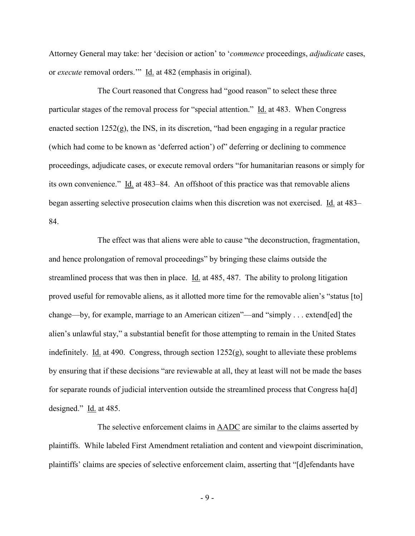Attorney General may take: her 'decision or action' to '*commence* proceedings, *adjudicate* cases, or *execute* removal orders.'" Id. at 482 (emphasis in original).

The Court reasoned that Congress had "good reason" to select these three particular stages of the removal process for "special attention." Id. at 483. When Congress enacted section 1252(g), the INS, in its discretion, "had been engaging in a regular practice (which had come to be known as 'deferred action') of" deferring or declining to commence proceedings, adjudicate cases, or execute removal orders "for humanitarian reasons or simply for its own convenience." Id. at 483–84. An offshoot of this practice was that removable aliens began asserting selective prosecution claims when this discretion was not exercised. Id. at 483– 84.

The effect was that aliens were able to cause "the deconstruction, fragmentation, and hence prolongation of removal proceedings" by bringing these claims outside the streamlined process that was then in place. Id. at 485, 487. The ability to prolong litigation proved useful for removable aliens, as it allotted more time for the removable alien's "status [to] change—by, for example, marriage to an American citizen"—and "simply . . . extend[ed] the alien's unlawful stay," a substantial benefit for those attempting to remain in the United States indefinitely. Id. at 490. Congress, through section 1252(g), sought to alleviate these problems by ensuring that if these decisions "are reviewable at all, they at least will not be made the bases for separate rounds of judicial intervention outside the streamlined process that Congress ha[d] designed." Id. at 485.

The selective enforcement claims in AADC are similar to the claims asserted by plaintiffs. While labeled First Amendment retaliation and content and viewpoint discrimination, plaintiffs' claims are species of selective enforcement claim, asserting that "[d]efendants have

- 9 -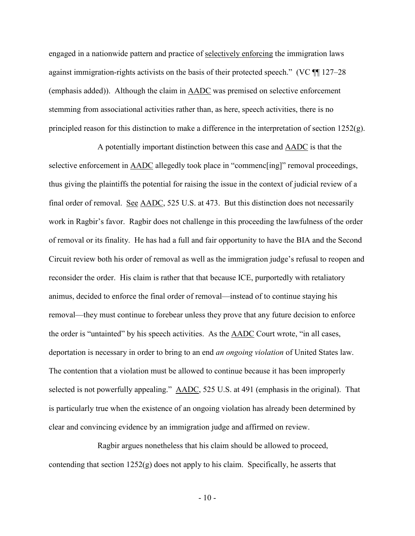engaged in a nationwide pattern and practice of selectively enforcing the immigration laws against immigration-rights activists on the basis of their protected speech." (VC ¶¶ 127–28 (emphasis added)). Although the claim in AADC was premised on selective enforcement stemming from associational activities rather than, as here, speech activities, there is no principled reason for this distinction to make a difference in the interpretation of section 1252(g).

A potentially important distinction between this case and AADC is that the selective enforcement in AADC allegedly took place in "commenc[ing]" removal proceedings, thus giving the plaintiffs the potential for raising the issue in the context of judicial review of a final order of removal. See AADC, 525 U.S. at 473. But this distinction does not necessarily work in Ragbir's favor. Ragbir does not challenge in this proceeding the lawfulness of the order of removal or its finality. He has had a full and fair opportunity to have the BIA and the Second Circuit review both his order of removal as well as the immigration judge's refusal to reopen and reconsider the order. His claim is rather that that because ICE, purportedly with retaliatory animus, decided to enforce the final order of removal—instead of to continue staying his removal—they must continue to forebear unless they prove that any future decision to enforce the order is "untainted" by his speech activities. As the AADC Court wrote, "in all cases, deportation is necessary in order to bring to an end *an ongoing violation* of United States law. The contention that a violation must be allowed to continue because it has been improperly selected is not powerfully appealing." AADC, 525 U.S. at 491 (emphasis in the original). That is particularly true when the existence of an ongoing violation has already been determined by clear and convincing evidence by an immigration judge and affirmed on review.

Ragbir argues nonetheless that his claim should be allowed to proceed, contending that section  $1252(g)$  does not apply to his claim. Specifically, he asserts that

 $-10-$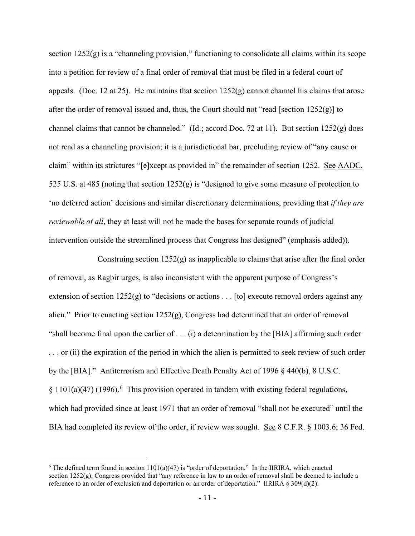section  $1252(g)$  is a "channeling provision," functioning to consolidate all claims within its scope into a petition for review of a final order of removal that must be filed in a federal court of appeals. (Doc. 12 at 25). He maintains that section  $1252(g)$  cannot channel his claims that arose after the order of removal issued and, thus, the Court should not "read [section  $1252(g)$ ] to channel claims that cannot be channeled." (Id.; accord Doc. 72 at 11). But section 1252(g) does not read as a channeling provision; it is a jurisdictional bar, precluding review of "any cause or claim" within its strictures "[e]xcept as provided in" the remainder of section 1252. See AADC, 525 U.S. at 485 (noting that section 1252(g) is "designed to give some measure of protection to 'no deferred action' decisions and similar discretionary determinations, providing that *if they are reviewable at all*, they at least will not be made the bases for separate rounds of judicial intervention outside the streamlined process that Congress has designed" (emphasis added)).

Construing section  $1252(g)$  as inapplicable to claims that arise after the final order of removal, as Ragbir urges, is also inconsistent with the apparent purpose of Congress's extension of section 1252(g) to "decisions or actions . . . [to] execute removal orders against any alien." Prior to enacting section  $1252(g)$ , Congress had determined that an order of removal "shall become final upon the earlier of . . . (i) a determination by the [BIA] affirming such order ... or (ii) the expiration of the period in which the alien is permitted to seek review of such order by the [BIA]." Antiterrorism and Effective Death Penalty Act of 1996 § 440(b), 8 U.S.C.  $§ 1101(a)(47) (1996).$  $§ 1101(a)(47) (1996).$  $§ 1101(a)(47) (1996).$ <sup>6</sup> This provision operated in tandem with existing federal regulations, which had provided since at least 1971 that an order of removal "shall not be executed" until the BIA had completed its review of the order, if review was sought. See 8 C.F.R. § 1003.6; 36 Fed.

 $\overline{a}$ 

<span id="page-10-0"></span><sup>&</sup>lt;sup>6</sup> The defined term found in section  $1101(a)(47)$  is "order of deportation." In the IIRIRA, which enacted section  $1252(g)$ . Congress provided that "any reference in law to an order of removal shall be deemed to include a reference to an order of exclusion and deportation or an order of deportation." IIRIRA § 309(d)(2).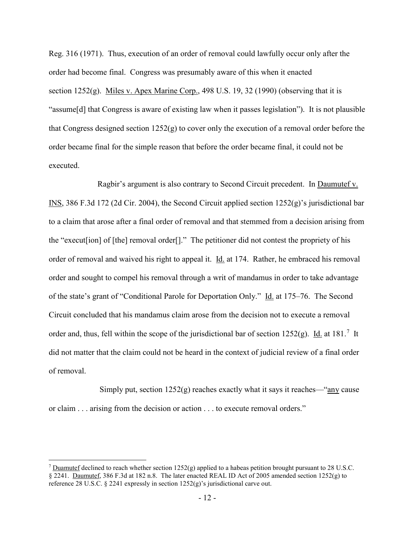Reg. 316 (1971). Thus, execution of an order of removal could lawfully occur only after the order had become final. Congress was presumably aware of this when it enacted section 1252(g). Miles v. Apex Marine Corp., 498 U.S. 19, 32 (1990) (observing that it is "assume[d] that Congress is aware of existing law when it passes legislation"). It is not plausible that Congress designed section  $1252(g)$  to cover only the execution of a removal order before the order became final for the simple reason that before the order became final, it could not be executed.

Ragbir's argument is also contrary to Second Circuit precedent. In Daumutef v. INS, 386 F.3d 172 (2d Cir. 2004), the Second Circuit applied section 1252(g)'s jurisdictional bar to a claim that arose after a final order of removal and that stemmed from a decision arising from the "execut[ion] of [the] removal order[]." The petitioner did not contest the propriety of his order of removal and waived his right to appeal it. Id. at 174. Rather, he embraced his removal order and sought to compel his removal through a writ of mandamus in order to take advantage of the state's grant of "Conditional Parole for Deportation Only." Id. at 175–76. The Second Circuit concluded that his mandamus claim arose from the decision not to execute a removal order and, thus, fell within the scope of the jurisdictional bar of section  $1252(g)$ . Id. at 181.<sup>[7](#page-11-0)</sup> It did not matter that the claim could not be heard in the context of judicial review of a final order of removal.

Simply put, section  $1252(g)$  reaches exactly what it says it reaches—"any cause or claim . . . arising from the decision or action . . . to execute removal orders."

 $\overline{a}$ 

<span id="page-11-0"></span><sup>&</sup>lt;sup>7</sup> Duamutef declined to reach whether section  $1252(g)$  applied to a habeas petition brought pursuant to 28 U.S.C. § 2241. Daumutef, 386 F.3d at 182 n.8. The later enacted REAL ID Act of 2005 amended section 1252(g) to reference 28 U.S.C. § 2241 expressly in section 1252(g)'s jurisdictional carve out.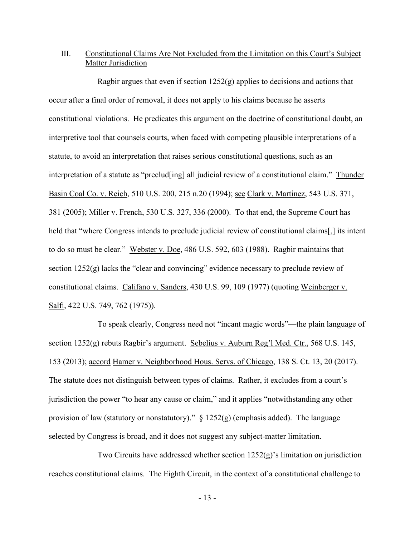# III. Constitutional Claims Are Not Excluded from the Limitation on this Court's Subject Matter Jurisdiction

Ragbir argues that even if section 1252(g) applies to decisions and actions that occur after a final order of removal, it does not apply to his claims because he asserts constitutional violations. He predicates this argument on the doctrine of constitutional doubt, an interpretive tool that counsels courts, when faced with competing plausible interpretations of a statute, to avoid an interpretation that raises serious constitutional questions, such as an interpretation of a statute as "preclud[ing] all judicial review of a constitutional claim." Thunder Basin Coal Co. v. Reich, 510 U.S. 200, 215 n.20 (1994); see Clark v. Martinez, 543 U.S. 371, 381 (2005); Miller v. French, 530 U.S. 327, 336 (2000). To that end, the Supreme Court has held that "where Congress intends to preclude judicial review of constitutional claims[,] its intent to do so must be clear." Webster v. Doe, 486 U.S. 592, 603 (1988). Ragbir maintains that section 1252(g) lacks the "clear and convincing" evidence necessary to preclude review of constitutional claims. Califano v. Sanders, 430 U.S. 99, 109 (1977) (quoting Weinberger v. Salfi, 422 U.S. 749, 762 (1975)).

To speak clearly, Congress need not "incant magic words"—the plain language of section 1252(g) rebuts Ragbir's argument. Sebelius v. Auburn Reg'l Med. Ctr., 568 U.S. 145, 153 (2013); accord Hamer v. Neighborhood Hous. Servs. of Chicago, 138 S. Ct. 13, 20 (2017). The statute does not distinguish between types of claims. Rather, it excludes from a court's jurisdiction the power "to hear any cause or claim," and it applies "notwithstanding any other provision of law (statutory or nonstatutory)."  $\S$  1252(g) (emphasis added). The language selected by Congress is broad, and it does not suggest any subject-matter limitation.

Two Circuits have addressed whether section  $1252(g)$ 's limitation on jurisdiction reaches constitutional claims. The Eighth Circuit, in the context of a constitutional challenge to

- 13 -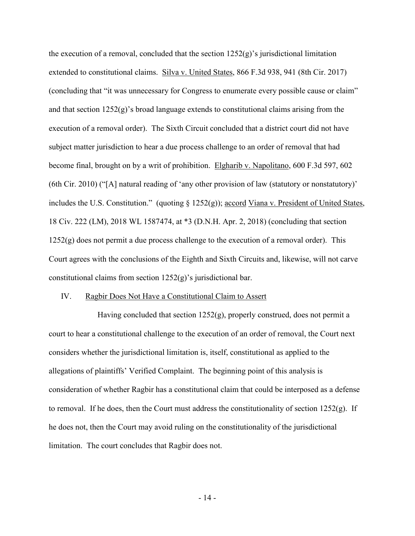the execution of a removal, concluded that the section  $1252(g)$ 's jurisdictional limitation extended to constitutional claims. Silva v. United States, 866 F.3d 938, 941 (8th Cir. 2017) (concluding that "it was unnecessary for Congress to enumerate every possible cause or claim" and that section  $1252(g)$ 's broad language extends to constitutional claims arising from the execution of a removal order). The Sixth Circuit concluded that a district court did not have subject matter jurisdiction to hear a due process challenge to an order of removal that had become final, brought on by a writ of prohibition. Elgharib v. Napolitano, 600 F.3d 597, 602 (6th Cir. 2010) ("[A] natural reading of 'any other provision of law (statutory or nonstatutory)' includes the U.S. Constitution." (quoting § 1252(g)); accord Viana v. President of United States, 18 Civ. 222 (LM), 2018 WL 1587474, at \*3 (D.N.H. Apr. 2, 2018) (concluding that section  $1252(g)$  does not permit a due process challenge to the execution of a removal order). This Court agrees with the conclusions of the Eighth and Sixth Circuits and, likewise, will not carve constitutional claims from section 1252(g)'s jurisdictional bar.

#### IV. Ragbir Does Not Have a Constitutional Claim to Assert

Having concluded that section 1252(g), properly construed, does not permit a court to hear a constitutional challenge to the execution of an order of removal, the Court next considers whether the jurisdictional limitation is, itself, constitutional as applied to the allegations of plaintiffs' Verified Complaint. The beginning point of this analysis is consideration of whether Ragbir has a constitutional claim that could be interposed as a defense to removal. If he does, then the Court must address the constitutionality of section 1252(g). If he does not, then the Court may avoid ruling on the constitutionality of the jurisdictional limitation. The court concludes that Ragbir does not.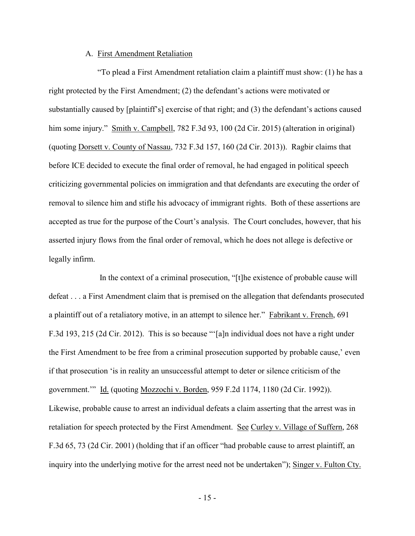#### A. First Amendment Retaliation

"To plead a First Amendment retaliation claim a plaintiff must show: (1) he has a right protected by the First Amendment; (2) the defendant's actions were motivated or substantially caused by [plaintiff's] exercise of that right; and (3) the defendant's actions caused him some injury." Smith v. Campbell, 782 F.3d 93, 100 (2d Cir. 2015) (alteration in original) (quoting Dorsett v. County of Nassau, 732 F.3d 157, 160 (2d Cir. 2013)). Ragbir claims that before ICE decided to execute the final order of removal, he had engaged in political speech criticizing governmental policies on immigration and that defendants are executing the order of removal to silence him and stifle his advocacy of immigrant rights. Both of these assertions are accepted as true for the purpose of the Court's analysis. The Court concludes, however, that his asserted injury flows from the final order of removal, which he does not allege is defective or legally infirm.

 In the context of a criminal prosecution, "[t]he existence of probable cause will defeat . . . a First Amendment claim that is premised on the allegation that defendants prosecuted a plaintiff out of a retaliatory motive, in an attempt to silence her." Fabrikant v. French, 691 F.3d 193, 215 (2d Cir. 2012). This is so because "'[a]n individual does not have a right under the First Amendment to be free from a criminal prosecution supported by probable cause,' even if that prosecution 'is in reality an unsuccessful attempt to deter or silence criticism of the government.'" Id. (quoting Mozzochi v. Borden, 959 F.2d 1174, 1180 (2d Cir. 1992)). Likewise, probable cause to arrest an individual defeats a claim asserting that the arrest was in retaliation for speech protected by the First Amendment. See Curley v. Village of Suffern, 268 F.3d 65, 73 (2d Cir. 2001) (holding that if an officer "had probable cause to arrest plaintiff, an inquiry into the underlying motive for the arrest need not be undertaken"); Singer v. Fulton Cty.

- 15 -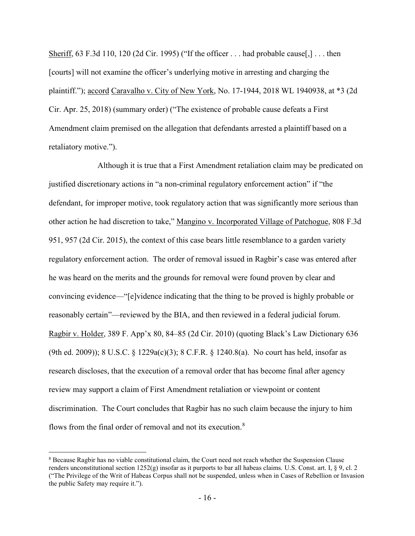Sheriff, 63 F.3d 110, 120 (2d Cir. 1995) ("If the officer . . . had probable cause[,] . . . then [courts] will not examine the officer's underlying motive in arresting and charging the plaintiff."); accord Caravalho v. City of New York, No. 17-1944, 2018 WL 1940938, at \*3 (2d Cir. Apr. 25, 2018) (summary order) ("The existence of probable cause defeats a First Amendment claim premised on the allegation that defendants arrested a plaintiff based on a retaliatory motive.").

Although it is true that a First Amendment retaliation claim may be predicated on justified discretionary actions in "a non-criminal regulatory enforcement action" if "the defendant, for improper motive, took regulatory action that was significantly more serious than other action he had discretion to take," Mangino v. Incorporated Village of Patchogue, 808 F.3d 951, 957 (2d Cir. 2015), the context of this case bears little resemblance to a garden variety regulatory enforcement action. The order of removal issued in Ragbir's case was entered after he was heard on the merits and the grounds for removal were found proven by clear and convincing evidence—"[e]vidence indicating that the thing to be proved is highly probable or reasonably certain"—reviewed by the BIA, and then reviewed in a federal judicial forum. Ragbir v. Holder, 389 F. App'x 80, 84–85 (2d Cir. 2010) (quoting Black's Law Dictionary 636 (9th ed. 2009)); 8 U.S.C. § 1229a(c)(3); 8 C.F.R. § 1240.8(a). No court has held, insofar as research discloses, that the execution of a removal order that has become final after agency review may support a claim of First Amendment retaliation or viewpoint or content discrimination. The Court concludes that Ragbir has no such claim because the injury to him flows from the final order of removal and not its execution.<sup>[8](#page-15-0)</sup>

 $\overline{a}$ 

<span id="page-15-0"></span><sup>8</sup> Because Ragbir has no viable constitutional claim, the Court need not reach whether the Suspension Clause renders unconstitutional section  $1252(g)$  insofar as it purports to bar all habeas claims. U.S. Const. art. I, § 9, cl. 2 ("The Privilege of the Writ of Habeas Corpus shall not be suspended, unless when in Cases of Rebellion or Invasion the public Safety may require it.").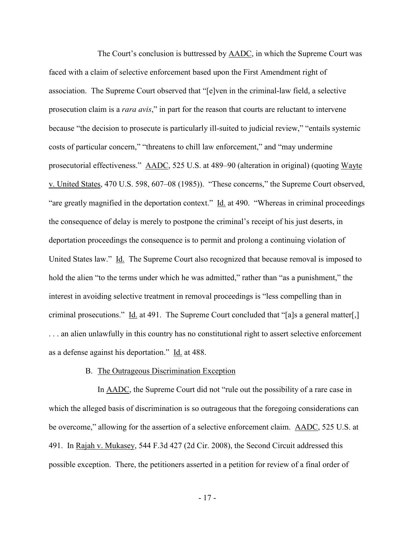The Court's conclusion is buttressed by AADC, in which the Supreme Court was faced with a claim of selective enforcement based upon the First Amendment right of association. The Supreme Court observed that "[e]ven in the criminal-law field, a selective prosecution claim is a *rara avis*," in part for the reason that courts are reluctant to intervene because "the decision to prosecute is particularly ill-suited to judicial review," "entails systemic costs of particular concern," "threatens to chill law enforcement," and "may undermine prosecutorial effectiveness." AADC, 525 U.S. at 489–90 (alteration in original) (quoting Wayte v. United States, 470 U.S. 598, 607–08 (1985)). "These concerns," the Supreme Court observed, "are greatly magnified in the deportation context." Id. at 490. "Whereas in criminal proceedings the consequence of delay is merely to postpone the criminal's receipt of his just deserts, in deportation proceedings the consequence is to permit and prolong a continuing violation of United States law." Id. The Supreme Court also recognized that because removal is imposed to hold the alien "to the terms under which he was admitted," rather than "as a punishment," the interest in avoiding selective treatment in removal proceedings is "less compelling than in criminal prosecutions." Id. at 491. The Supreme Court concluded that "[a]s a general matter[,] . . . an alien unlawfully in this country has no constitutional right to assert selective enforcement as a defense against his deportation." Id. at 488.

#### B. The Outrageous Discrimination Exception

In **AADC**, the Supreme Court did not "rule out the possibility of a rare case in which the alleged basis of discrimination is so outrageous that the foregoing considerations can be overcome," allowing for the assertion of a selective enforcement claim. AADC, 525 U.S. at 491. In Rajah v. Mukasey, 544 F.3d 427 (2d Cir. 2008), the Second Circuit addressed this possible exception. There, the petitioners asserted in a petition for review of a final order of

- 17 -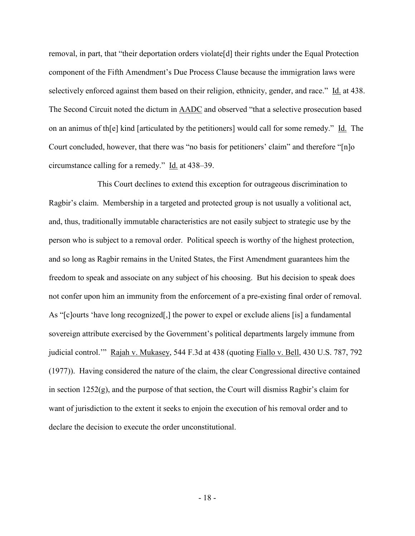removal, in part, that "their deportation orders violate[d] their rights under the Equal Protection component of the Fifth Amendment's Due Process Clause because the immigration laws were selectively enforced against them based on their religion, ethnicity, gender, and race." Id. at 438. The Second Circuit noted the dictum in AADC and observed "that a selective prosecution based on an animus of th[e] kind [articulated by the petitioners] would call for some remedy." Id. The Court concluded, however, that there was "no basis for petitioners' claim" and therefore "[n]o circumstance calling for a remedy." Id. at 438–39.

This Court declines to extend this exception for outrageous discrimination to Ragbir's claim. Membership in a targeted and protected group is not usually a volitional act, and, thus, traditionally immutable characteristics are not easily subject to strategic use by the person who is subject to a removal order. Political speech is worthy of the highest protection, and so long as Ragbir remains in the United States, the First Amendment guarantees him the freedom to speak and associate on any subject of his choosing. But his decision to speak does not confer upon him an immunity from the enforcement of a pre-existing final order of removal. As "[c]ourts 'have long recognized[,] the power to expel or exclude aliens [is] a fundamental sovereign attribute exercised by the Government's political departments largely immune from judicial control.'" Rajah v. Mukasey, 544 F.3d at 438 (quoting Fiallo v. Bell, 430 U.S. 787, 792 (1977)). Having considered the nature of the claim, the clear Congressional directive contained in section  $1252(g)$ , and the purpose of that section, the Court will dismiss Ragbir's claim for want of jurisdiction to the extent it seeks to enjoin the execution of his removal order and to declare the decision to execute the order unconstitutional.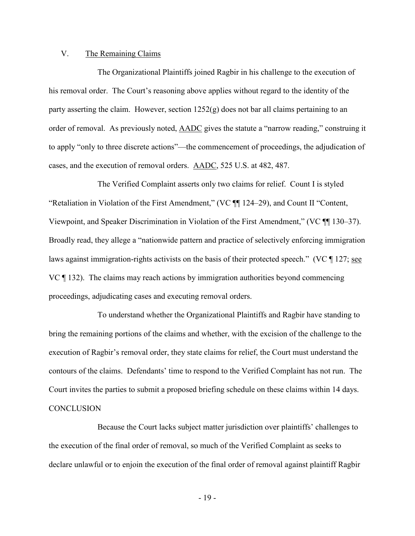## V. The Remaining Claims

The Organizational Plaintiffs joined Ragbir in his challenge to the execution of his removal order. The Court's reasoning above applies without regard to the identity of the party asserting the claim. However, section  $1252(g)$  does not bar all claims pertaining to an order of removal. As previously noted, AADC gives the statute a "narrow reading," construing it to apply "only to three discrete actions"—the commencement of proceedings, the adjudication of cases, and the execution of removal orders. AADC, 525 U.S. at 482, 487.

The Verified Complaint asserts only two claims for relief. Count I is styled "Retaliation in Violation of the First Amendment," (VC ¶¶ 124–29), and Count II "Content, Viewpoint, and Speaker Discrimination in Violation of the First Amendment," (VC ¶¶ 130–37). Broadly read, they allege a "nationwide pattern and practice of selectively enforcing immigration laws against immigration-rights activists on the basis of their protected speech." (VC ¶ 127; see VC ¶ 132). The claims may reach actions by immigration authorities beyond commencing proceedings, adjudicating cases and executing removal orders.

To understand whether the Organizational Plaintiffs and Ragbir have standing to bring the remaining portions of the claims and whether, with the excision of the challenge to the execution of Ragbir's removal order, they state claims for relief, the Court must understand the contours of the claims. Defendants' time to respond to the Verified Complaint has not run. The Court invites the parties to submit a proposed briefing schedule on these claims within 14 days. **CONCLUSION** 

Because the Court lacks subject matter jurisdiction over plaintiffs' challenges to the execution of the final order of removal, so much of the Verified Complaint as seeks to declare unlawful or to enjoin the execution of the final order of removal against plaintiff Ragbir

- 19 -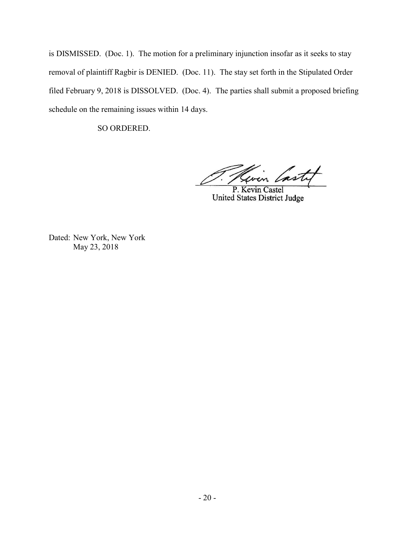is DISMISSED. (Doc. 1). The motion for a preliminary injunction insofar as it seeks to stay removal of plaintiff Ragbir is DENIED. (Doc. 11). The stay set forth in the Stipulated Order filed February 9, 2018 is DISSOLVED. (Doc. 4). The parties shall submit a proposed briefing schedule on the remaining issues within 14 days.

SO ORDERED.

wen last

P. Kevin Castel United States District Judge

Dated: New York, New York May 23, 2018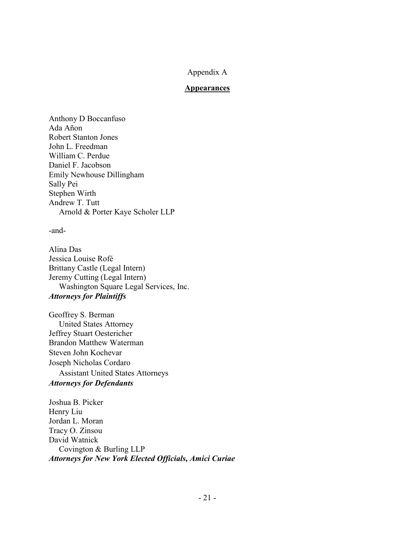# Appendix A

#### **Appearances**

Anthony D Boccanfuso Ada Añon Robert Stanton Jones John L. Freedman William C. Perdue Daniel F. Jacobson Emily Newhouse Dillingham Sally Pei Stephen Wirth Andrew T. Tutt Arnold & Porter Kaye Scholer LLP

-and-

Alina Das Jessica Louise Rofé Brittany Castle (Legal Intern) Jeremy Cutting (Legal Intern) Washington Square Legal Services, Inc. *Attorneys for Plaintiffs*

Geoffrey S. Berman United States Attorney Jeffrey Stuart Oestericher Brandon Matthew Waterman Steven John Kochevar Joseph Nicholas Cordaro Assistant United States Attorneys *Attorneys for Defendants*

Joshua B. Picker Henry Liu Jordan L. Moran Tracy O. Zinsou David Watnick Covington & Burling LLP *Attorneys for New York Elected Officials, Amici Curiae*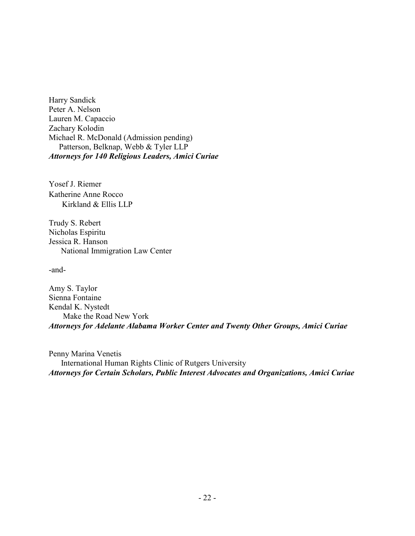Harry Sandick Peter A. Nelson Lauren M. Capaccio Zachary Kolodin Michael R. McDonald (Admission pending) Patterson, Belknap, Webb & Tyler LLP *Attorneys for 140 Religious Leaders, Amici Curiae* 

Yosef J. Riemer Katherine Anne Rocco Kirkland & Ellis LLP

Trudy S. Rebert Nicholas Espiritu Jessica R. Hanson National Immigration Law Center

-and-

Amy S. Taylor Sienna Fontaine Kendal K. Nystedt Make the Road New York *Attorneys for Adelante Alabama Worker Center and Twenty Other Groups, Amici Curiae* 

Penny Marina Venetis International Human Rights Clinic of Rutgers University *Attorneys for Certain Scholars, Public Interest Advocates and Organizations, Amici Curiae*